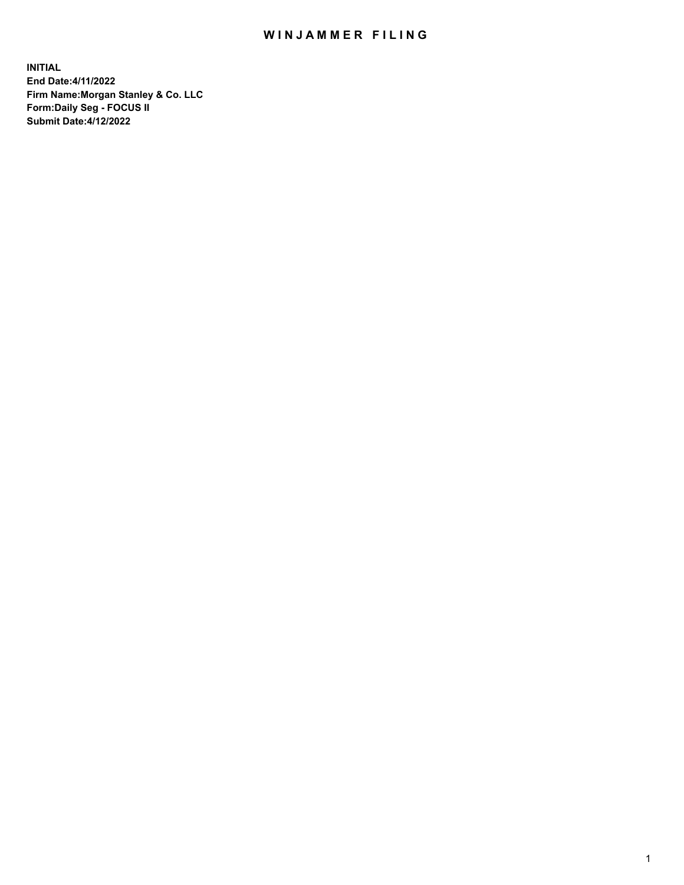## WIN JAMMER FILING

**INITIAL End Date:4/11/2022 Firm Name:Morgan Stanley & Co. LLC Form:Daily Seg - FOCUS II Submit Date:4/12/2022**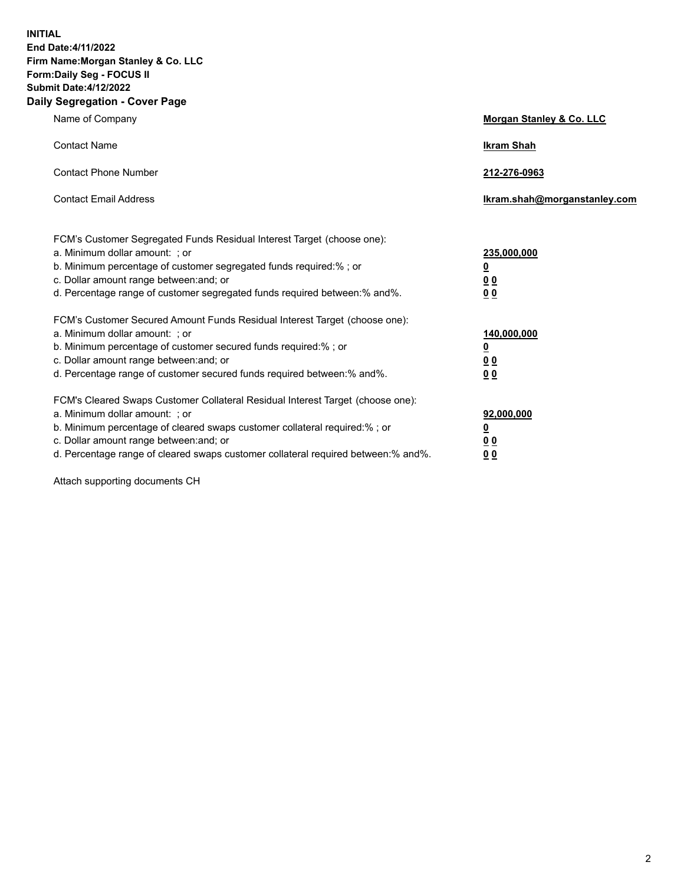**INITIAL End Date:4/11/2022 Firm Name:Morgan Stanley & Co. LLC Form:Daily Seg - FOCUS II Submit Date:4/12/2022 Daily Segregation - Cover Page**

| Name of Company                                                                                                                                                                                                                                                                                                                | <b>Morgan Stanley &amp; Co. LLC</b>                    |
|--------------------------------------------------------------------------------------------------------------------------------------------------------------------------------------------------------------------------------------------------------------------------------------------------------------------------------|--------------------------------------------------------|
| <b>Contact Name</b>                                                                                                                                                                                                                                                                                                            | <b>Ikram Shah</b>                                      |
| <b>Contact Phone Number</b>                                                                                                                                                                                                                                                                                                    | 212-276-0963                                           |
| <b>Contact Email Address</b>                                                                                                                                                                                                                                                                                                   | Ikram.shah@morganstanley.com                           |
| FCM's Customer Segregated Funds Residual Interest Target (choose one):<br>a. Minimum dollar amount: ; or<br>b. Minimum percentage of customer segregated funds required:% ; or<br>c. Dollar amount range between: and; or<br>d. Percentage range of customer segregated funds required between:% and%.                         | 235,000,000<br><u>0</u><br>0 Q<br>0 Q                  |
| FCM's Customer Secured Amount Funds Residual Interest Target (choose one):<br>a. Minimum dollar amount: ; or<br>b. Minimum percentage of customer secured funds required:% ; or<br>c. Dollar amount range between: and; or<br>d. Percentage range of customer secured funds required between: % and %.                         | 140,000,000<br><u>0</u><br><u>00</u><br>0 <sub>0</sub> |
| FCM's Cleared Swaps Customer Collateral Residual Interest Target (choose one):<br>a. Minimum dollar amount: ; or<br>b. Minimum percentage of cleared swaps customer collateral required:% ; or<br>c. Dollar amount range between: and; or<br>d. Percentage range of cleared swaps customer collateral required between:% and%. | 92,000,000<br><u>0</u><br>0 Q<br>00                    |

Attach supporting documents CH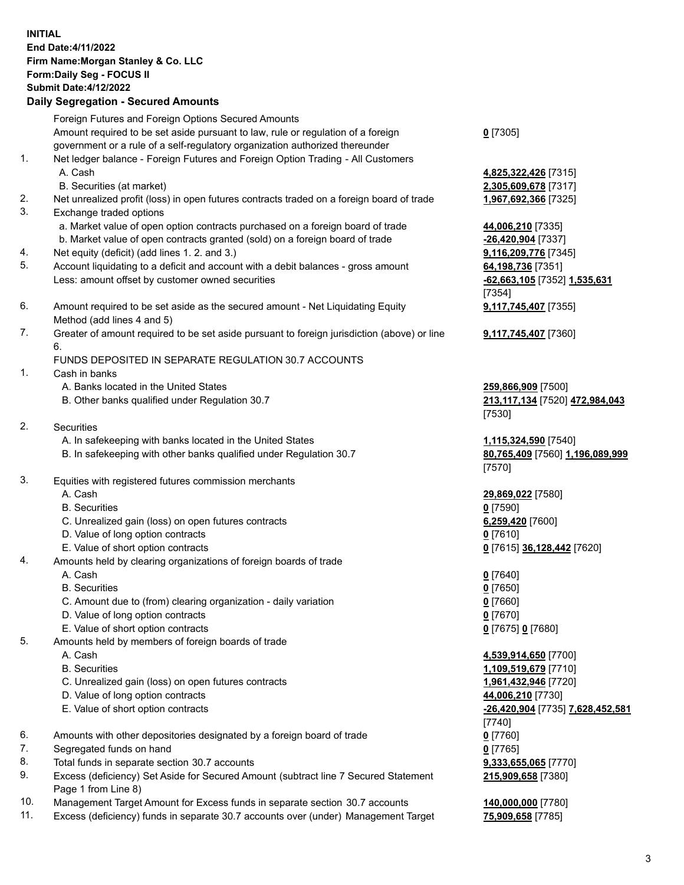## **INITIAL End Date:4/11/2022 Firm Name:Morgan Stanley & Co. LLC Form:Daily Seg - FOCUS II Submit Date:4/12/2022**

**Daily Segregation - Secured Amounts** Foreign Futures and Foreign Options Secured Amounts Amount required to be set aside pursuant to law, rule or regulation of a foreign government or a rule of a self-regulatory organization authorized thereunder 1. Net ledger balance - Foreign Futures and Foreign Option Trading - All Customers A. Cash **4,825,322,426** [7315] B. Securities (at market) **2,305,609,678** [7317] 2. Net unrealized profit (loss) in open futures contracts traded on a foreign board of trade **1,967,692,366** [7325] 3. Exchange traded options a. Market value of open option contracts purchased on a foreign board of trade **44,006,210** [7335] b. Market value of open contracts granted (sold) on a foreign board of trade **-26,420,904** [7337] 4. Net equity (deficit) (add lines 1. 2. and 3.) **9,116,209,776** [7345] 5. Account liquidating to a deficit and account with a debit balances - gross amount **64,198,736** [7351] Less: amount offset by customer owned securities **-62,663,105** [7352] **1,535,631** 6. Amount required to be set aside as the secured amount - Net Liquidating Equity Method (add lines 4 and 5) 7. Greater of amount required to be set aside pursuant to foreign jurisdiction (above) or line 6. FUNDS DEPOSITED IN SEPARATE REGULATION 30.7 ACCOUNTS 1. Cash in banks A. Banks located in the United States **259,866,909** [7500] B. Other banks qualified under Regulation 30.7 **213,117,134** [7520] **472,984,043** 2. Securities A. In safekeeping with banks located in the United States **1,115,324,590** [7540] B. In safekeeping with other banks qualified under Regulation 30.7 **80,765,409** [7560] **1,196,089,999** 3. Equities with registered futures commission merchants A. Cash **29,869,022** [7580] B. Securities **0** [7590] C. Unrealized gain (loss) on open futures contracts **6,259,420** [7600] D. Value of long option contracts **0** [7610] E. Value of short option contracts **0** [7615] **36,128,442** [7620] 4. Amounts held by clearing organizations of foreign boards of trade A. Cash **0** [7640] B. Securities **0** [7650] C. Amount due to (from) clearing organization - daily variation **0** [7660] D. Value of long option contracts **0** [7670] E. Value of short option contracts **0** [7675] **0** [7680] 5. Amounts held by members of foreign boards of trade A. Cash **4,539,914,650** [7700]

- 
- C. Unrealized gain (loss) on open futures contracts **1,961,432,946** [7720]
- D. Value of long option contracts **44,006,210** [7730]
- E. Value of short option contracts **-26,420,904** [7735] **7,628,452,581**
- 6. Amounts with other depositories designated by a foreign board of trade **0** [7760]
- 7. Segregated funds on hand **0** [7765]
- 8. Total funds in separate section 30.7 accounts **9,333,655,065** [7770]
- 9. Excess (deficiency) Set Aside for Secured Amount (subtract line 7 Secured Statement Page 1 from Line 8)
- 10. Management Target Amount for Excess funds in separate section 30.7 accounts **140,000,000** [7780]
- 11. Excess (deficiency) funds in separate 30.7 accounts over (under) Management Target **75,909,658** [7785]

**0** [7305]

[7354] **9,117,745,407** [7355]

**9,117,745,407** [7360]

[7530]

[7570]

 B. Securities **1,109,519,679** [7710] [7740] **215,909,658** [7380]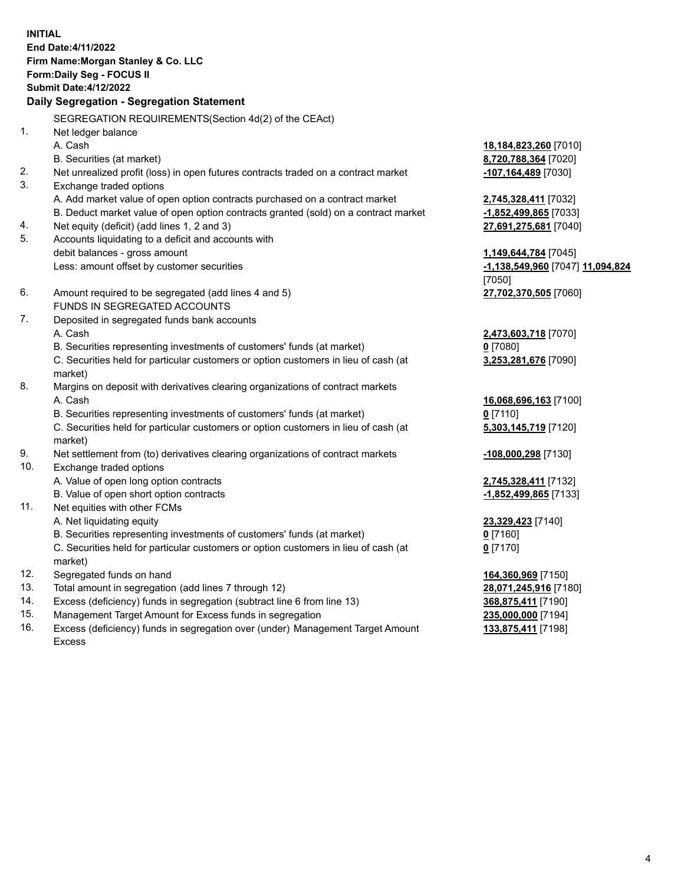**INITIAL End Date:4/11/2022 Firm Name:Morgan Stanley & Co. LLC Form:Daily Seg - FOCUS II Submit Date:4/12/2022 Daily Segregation - Segregation Statement** SEGREGATION REQUIREMENTS(Section 4d(2) of the CEAct) 1. Net ledger balance A. Cash **18,184,823,260** [7010] B. Securities (at market) **8,720,788,364** [7020] 2. Net unrealized profit (loss) in open futures contracts traded on a contract market **-107,164,489** [7030] 3. Exchange traded options A. Add market value of open option contracts purchased on a contract market **2,745,328,411** [7032] B. Deduct market value of open option contracts granted (sold) on a contract market **-1,852,499,865** [7033] 4. Net equity (deficit) (add lines 1, 2 and 3) **27,691,275,681** [7040] 5. Accounts liquidating to a deficit and accounts with debit balances - gross amount **1,149,644,784** [7045] Less: amount offset by customer securities **-1,138,549,960** [7047] **11,094,824** [7050] 6. Amount required to be segregated (add lines 4 and 5) **27,702,370,505** [7060] FUNDS IN SEGREGATED ACCOUNTS 7. Deposited in segregated funds bank accounts A. Cash **2,473,603,718** [7070] B. Securities representing investments of customers' funds (at market) **0** [7080] C. Securities held for particular customers or option customers in lieu of cash (at market) **3,253,281,676** [7090] 8. Margins on deposit with derivatives clearing organizations of contract markets A. Cash **16,068,696,163** [7100] B. Securities representing investments of customers' funds (at market) **0** [7110] C. Securities held for particular customers or option customers in lieu of cash (at market) **5,303,145,719** [7120] 9. Net settlement from (to) derivatives clearing organizations of contract markets **-108,000,298** [7130] 10. Exchange traded options A. Value of open long option contracts **2,745,328,411** [7132] B. Value of open short option contracts **-1,852,499,865** [7133] 11. Net equities with other FCMs A. Net liquidating equity **23,329,423** [7140] B. Securities representing investments of customers' funds (at market) **0** [7160] C. Securities held for particular customers or option customers in lieu of cash (at market) **0** [7170] 12. Segregated funds on hand **164,360,969** [7150] 13. Total amount in segregation (add lines 7 through 12) **28,071,245,916** [7180] 14. Excess (deficiency) funds in segregation (subtract line 6 from line 13) **368,875,411** [7190] 15. Management Target Amount for Excess funds in segregation **235,000,000** [7194]

16. Excess (deficiency) funds in segregation over (under) Management Target Amount Excess

**133,875,411** [7198]